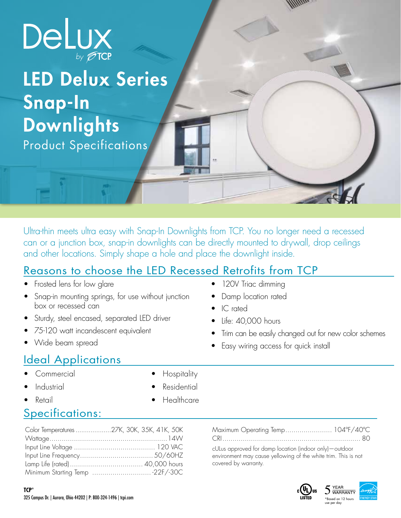

## LED Delux Series Snap-In **Downlights** Product Specifications

Ultra-thin meets ultra easy with Snap-In Downlights from TCP. You no longer need a recessed can or a junction box, snap-in downlights can be directly mounted to drywall, drop ceilings and other locations. Simply shape a hole and place the downlight inside.

## Reasons to choose the LED Recessed Retrofits from TCP

- Frosted lens for low glare
- Snap-in mounting springs, for use without junction box or recessed can
- Sturdy, steel encased, separated LED driver
- 75-120 watt incandescent equivalent
- Wide beam spread

## Ideal Applications

- Commercial
- **Industrial**
- Retail
- **Hospitality**
- 
- **Residential**
- **Healthcare**

## Specifications:

| Color Temperatures 27K, 30K, 35K, 41K, 50K |  |
|--------------------------------------------|--|
|                                            |  |
|                                            |  |
|                                            |  |
|                                            |  |
|                                            |  |

- 120V Triac dimming
- Damp location rated
- IC rated
- Life: 40,000 hours
- Trim can be easily changed out for new color schemes
- Easy wiring access for quick install

#### Maximum Operating Temp....................... 104ºF/40ºC CRI.................................................................... 80

cULus approved for damp location (indoor only)—outdoor environment may cause yellowing of the white trim. This is not covered by warranty.